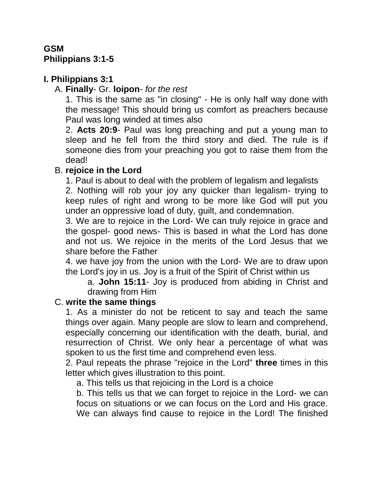### **GSM Philippians 3:1-5**

# **I. Philippians 3:1**

### A. **Finally**- Gr. **loipon**- *for the rest*

1. This is the same as "in closing" - He is only half way done with the message! This should bring us comfort as preachers because Paul was long winded at times also

2. **Acts 20:9**- Paul was long preaching and put a young man to sleep and he fell from the third story and died. The rule is if someone dies from your preaching you got to raise them from the dead!

#### B. **rejoice in the Lord**

1. Paul is about to deal with the problem of legalism and legalists

2. Nothing will rob your joy any quicker than legalism- trying to keep rules of right and wrong to be more like God will put you under an oppressive load of duty, guilt, and condemnation.

3. We are to rejoice in the Lord- We can truly rejoice in grace and the gospel- good news- This is based in what the Lord has done and not us. We rejoice in the merits of the Lord Jesus that we share before the Father

4. we have joy from the union with the Lord- We are to draw upon the Lord's joy in us. Joy is a fruit of the Spirit of Christ within us

a. **John 15:11**- Joy is produced from abiding in Christ and drawing from Him

### C. **write the same things**

1. As a minister do not be reticent to say and teach the same things over again. Many people are slow to learn and comprehend, especially concerning our identification with the death, burial, and resurrection of Christ. We only hear a percentage of what was spoken to us the first time and comprehend even less.

2. Paul repeats the phrase "rejoice in the Lord" **three** times in this letter which gives illustration to this point.

a. This tells us that rejoicing in the Lord is a choice

b. This tells us that we can forget to rejoice in the Lord- we can focus on situations or we can focus on the Lord and His grace. We can always find cause to rejoice in the Lord! The finished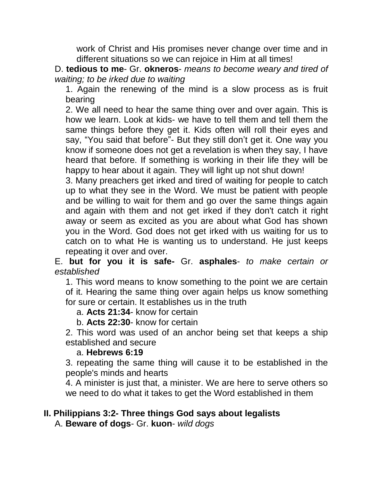work of Christ and His promises never change over time and in different situations so we can rejoice in Him at all times!

D. **tedious to me**- Gr. **okneros**- *means to become weary and tired of waiting; to be irked due to waiting*

1. Again the renewing of the mind is a slow process as is fruit bearing

2. We all need to hear the same thing over and over again. This is how we learn. Look at kids- we have to tell them and tell them the same things before they get it. Kids often will roll their eyes and say, "You said that before"- But they still don't get it. One way you know if someone does not get a revelation is when they say, I have heard that before. If something is working in their life they will be happy to hear about it again. They will light up not shut down!

3. Many preachers get irked and tired of waiting for people to catch up to what they see in the Word. We must be patient with people and be willing to wait for them and go over the same things again and again with them and not get irked if they don't catch it right away or seem as excited as you are about what God has shown you in the Word. God does not get irked with us waiting for us to catch on to what He is wanting us to understand. He just keeps repeating it over and over.

E. **but for you it is safe-** Gr. **asphales**- *to make certain or established*

1. This word means to know something to the point we are certain of it. Hearing the same thing over again helps us know something for sure or certain. It establishes us in the truth

a. **Acts 21:34**- know for certain

#### b. **Acts 22:30**- know for certain

2. This word was used of an anchor being set that keeps a ship established and secure

#### a. **Hebrews 6:19**

3. repeating the same thing will cause it to be established in the people's minds and hearts

4. A minister is just that, a minister. We are here to serve others so we need to do what it takes to get the Word established in them

# **II. Philippians 3:2- Three things God says about legalists**

A. **Beware of dogs**- Gr. **kuon**- *wild dogs*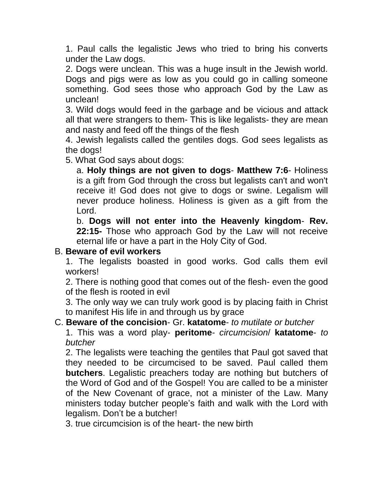1. Paul calls the legalistic Jews who tried to bring his converts under the Law dogs.

2. Dogs were unclean. This was a huge insult in the Jewish world. Dogs and pigs were as low as you could go in calling someone something. God sees those who approach God by the Law as unclean!

3. Wild dogs would feed in the garbage and be vicious and attack all that were strangers to them- This is like legalists- they are mean and nasty and feed off the things of the flesh

4. Jewish legalists called the gentiles dogs. God sees legalists as the dogs!

5. What God says about dogs:

a. **Holy things are not given to dogs**- **Matthew 7:6**- Holiness is a gift from God through the cross but legalists can't and won't receive it! God does not give to dogs or swine. Legalism will never produce holiness. Holiness is given as a gift from the Lord.

b. **Dogs will not enter into the Heavenly kingdom**- **Rev. 22:15-** Those who approach God by the Law will not receive eternal life or have a part in the Holy City of God.

#### B. **Beware of evil workers**

1. The legalists boasted in good works. God calls them evil workers!

2. There is nothing good that comes out of the flesh- even the good of the flesh is rooted in evil

3. The only way we can truly work good is by placing faith in Christ to manifest His life in and through us by grace

#### C. **Beware of the concision**- Gr. **katatome**- *to mutilate or butcher*

1. This was a word play- **peritome**- *circumcision*/ **katatome**- *to butcher*

2. The legalists were teaching the gentiles that Paul got saved that they needed to be circumcised to be saved. Paul called them **butchers**. Legalistic preachers today are nothing but butchers of the Word of God and of the Gospel! You are called to be a minister of the New Covenant of grace, not a minister of the Law. Many ministers today butcher people's faith and walk with the Lord with legalism. Don't be a butcher!

3. true circumcision is of the heart- the new birth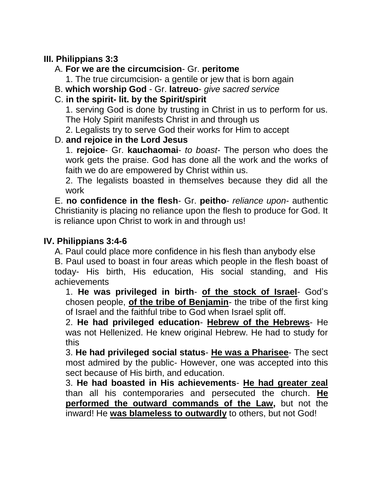### **III. Philippians 3:3**

### A. **For we are the circumcision**- Gr. **peritome**

1. The true circumcision- a gentile or jew that is born again

B. **which worship God** - Gr. **latreuo**- *give sacred service*

# C. **in the spirit- lit. by the Spirit/spirit**

1. serving God is done by trusting in Christ in us to perform for us. The Holy Spirit manifests Christ in and through us

2. Legalists try to serve God their works for Him to accept

# D. **and rejoice in the Lord Jesus**

1. **rejoice**- Gr. **kauchaomai**- *to boast*- The person who does the work gets the praise. God has done all the work and the works of faith we do are empowered by Christ within us.

2. The legalists boasted in themselves because they did all the work

E. **no confidence in the flesh**- Gr. **peitho**- *reliance upon*- authentic Christianity is placing no reliance upon the flesh to produce for God. It is reliance upon Christ to work in and through us!

### **IV. Philippians 3:4-6**

A. Paul could place more confidence in his flesh than anybody else

B. Paul used to boast in four areas which people in the flesh boast of today- His birth, His education, His social standing, and His achievements

1. **He was privileged in birth**- **of the stock of Israel**- God's chosen people, **of the tribe of Benjamin**- the tribe of the first king of Israel and the faithful tribe to God when Israel split off.

2. **He had privileged education**- **Hebrew of the Hebrews**- He was not Hellenized. He knew original Hebrew. He had to study for this

3. **He had privileged social status**- **He was a Pharisee**- The sect most admired by the public- However, one was accepted into this sect because of His birth, and education.

3. **He had boasted in His achievements**- **He had greater zeal** than all his contemporaries and persecuted the church. **He performed the outward commands of the Law,** but not the inward! He **was blameless to outwardly** to others, but not God!